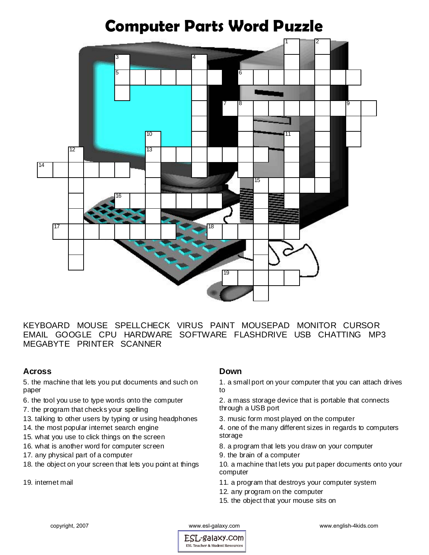

KEYBOARD MOUSE SPELLCHECK VIRUS PAINT MOUSEPAD MONITOR CURSOR EMAIL GOOGLE CPU HARDWARE SOFTWARE FLASHDRIVE USB CHATTING MP3 MEGABYTE PRINTER SCANNER

## **Across**

5. the machine that lets you put documents and such on paper

- 6. the tool you use to type words onto the computer
- 7. the program that checks your spelling
- 13. talking to other users by typing or using headphones
- 14. the most popular internet search engine
- 15. what you use to click things on the screen
- 16. what is another word for computer screen
- 17. any physical part of a computer
- 18. the object on your screen that lets you point at things
- 19. internet mail

## **Down**

1. a small port on your computer that you can attach drives to

- 2. a mass storage device that is portable that connects through a USB port
- 3. music form most played on the computer
- 4. one of the many different sizes in regards to computers storage
- 8. a program that lets you draw on your computer
- 9. the brain of a computer

10. a machine that lets you put paper documents onto your computer

- 11. a program that destroys your computer system
- 12. any program on the computer
- 15. the object that your mouse sits on